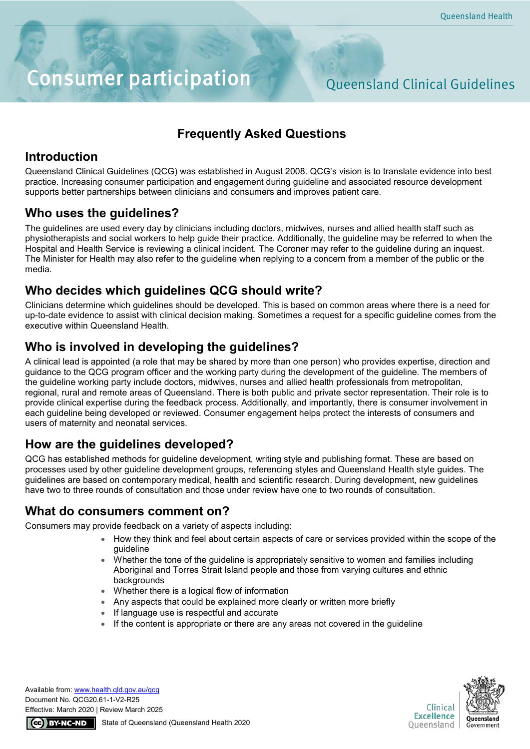# Consumer participation Queensland Clinical Guidelines

# **Frequently Asked Questions**

# **Introduction**

Queensland Clinical Guidelines (QCG) was established in August 2008. QCG's vision is to translate evidence into best practice. Increasing consumer participation and engagement during guideline and associated resource development supports better partnerships between clinicians and consumers and improves patient care.

#### **Who uses the guidelines?**

The guidelines are used every day by clinicians including doctors, midwives, nurses and allied health staff such as physiotherapists and social workers to help guide their practice. Additionally, the guideline may be referred to when the Hospital and Health Service is reviewing a clinical incident. The Coroner may refer to the guideline during an inquest. The Minister for Health may also refer to the guideline when replying to a concern from a member of the public or the media.

### **Who decides which guidelines QCG should write?**

Clinicians determine which guidelines should be developed. This is based on common areas where there is a need for up-to-date evidence to assist with clinical decision making. Sometimes a request for a specific guideline comes from the executive within Queensland Health.

# **Who is involved in developing the guidelines?**

A clinical lead is appointed (a role that may be shared by more than one person) who provides expertise, direction and guidance to the QCG program officer and the working party during the development of the guideline. The members of the guideline working party include doctors, midwives, nurses and allied health professionals from metropolitan, regional, rural and remote areas of Queensland. There is both public and private sector representation. Their role is to provide clinical expertise during the feedback process. Additionally, and importantly, there is consumer involvement in each guideline being developed or reviewed. Consumer engagement helps protect the interests of consumers and users of maternity and neonatal services.

# **How are the guidelines developed?**

QCG has established methods for guideline development, writing style and publishing format. These are based on processes used by other guideline development groups, referencing styles and Queensland Health style guides. The guidelines are based on contemporary medical, health and scientific research. During development, new guidelines have two to three rounds of consultation and those under review have one to two rounds of consultation.

#### **What do consumers comment on?**

Consumers may provide feedback on a variety of aspects including:

- How they think and feel about certain aspects of care or services provided within the scope of the guideline
- Whether the tone of the guideline is appropriately sensitive to women and families including Aboriginal and Torres Strait Island people and those from varying cultures and ethnic backgrounds
- Whether there is a logical flow of information
- Any aspects that could be explained more clearly or written more briefly
- If language use is respectful and accurate
- If the content is appropriate or there are any areas not covered in the guideline

Available from[: www.health.qld.gov.au/](http://www.health.qld.gov.au/)qcg Document No. QCG20.61-1-V2-R25 Effective: March 2020 | Review March 2025